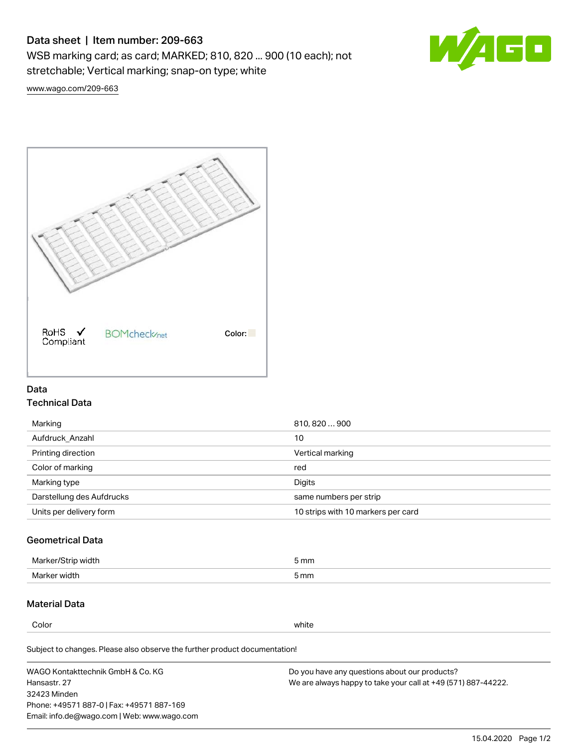# Data sheet | Item number: 209-663

WSB marking card; as card; MARKED; 810, 820 ... 900 (10 each); not stretchable; Vertical marking; snap-on type; white



[www.wago.com/209-663](http://www.wago.com/209-663)



### Data Technical Data

| Marking                   | 810, 820  900                      |
|---------------------------|------------------------------------|
| Aufdruck Anzahl           | 10                                 |
| Printing direction        | Vertical marking                   |
| Color of marking          | red                                |
| Marking type              | Digits                             |
| Darstellung des Aufdrucks | same numbers per strip             |
| Units per delivery form   | 10 strips with 10 markers per card |

# Geometrical Data

| طلقاء ئ<br><b>Marker</b><br>widtr | ັກmm |
|-----------------------------------|------|
| Marker width                      | 5 mm |

## Material Data

Color white

Subject to changes. Please also observe the further product documentation!

WAGO Kontakttechnik GmbH & Co. KG Hansastr. 27 32423 Minden Phone: +49571 887-0 | Fax: +49571 887-169 Email: info.de@wago.com | Web: www.wago.com Do you have any questions about our products? We are always happy to take your call at +49 (571) 887-44222.